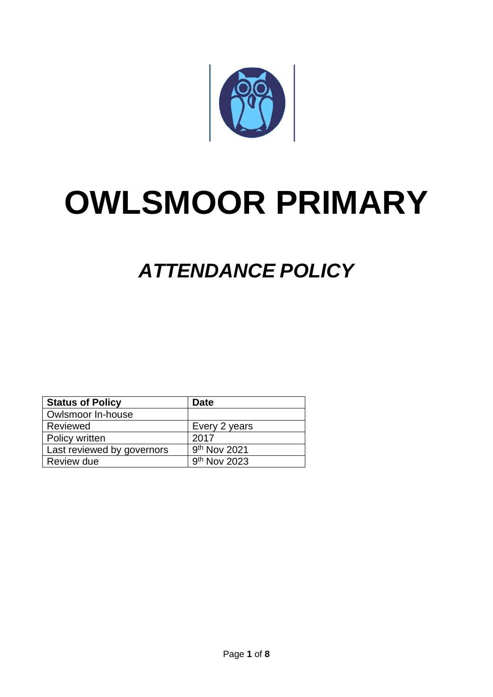

# **OWLSMOOR PRIMARY**

# *ATTENDANCE POLICY*

| <b>Status of Policy</b>    | Date                     |
|----------------------------|--------------------------|
| Owlsmoor In-house          |                          |
| Reviewed                   | Every 2 years            |
| Policy written             | 2017                     |
| Last reviewed by governors | 9 <sup>th</sup> Nov 2021 |
| Review due                 | 9 <sup>th</sup> Nov 2023 |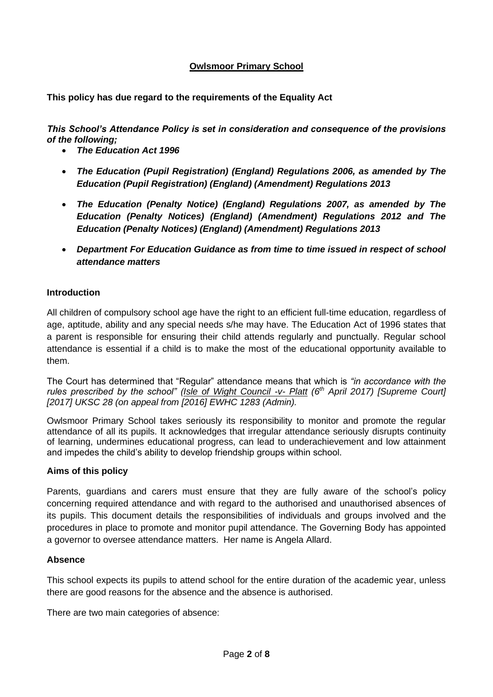# **Owlsmoor Primary School**

**This policy has due regard to the requirements of the Equality Act**

*This School's Attendance Policy is set in consideration and consequence of the provisions of the following;*

- *The Education Act 1996*
- *The Education (Pupil Registration) (England) Regulations 2006, as amended by The Education (Pupil Registration) (England) (Amendment) Regulations 2013*
- *The Education (Penalty Notice) (England) Regulations 2007, as amended by The Education (Penalty Notices) (England) (Amendment) Regulations 2012 and The Education (Penalty Notices) (England) (Amendment) Regulations 2013*
- *Department For Education Guidance as from time to time issued in respect of school attendance matters*

#### **Introduction**

All children of compulsory school age have the right to an efficient full-time education, regardless of age, aptitude, ability and any special needs s/he may have. The Education Act of 1996 states that a parent is responsible for ensuring their child attends regularly and punctually. Regular school attendance is essential if a child is to make the most of the educational opportunity available to them.

The Court has determined that "Regular" attendance means that which is *"in accordance with the rules prescribed by the school" (Isle of Wight Council -v- Platt (6th April 2017) [Supreme Court] [2017] UKSC 28 (on appeal from [2016] EWHC 1283 (Admin).* 

Owlsmoor Primary School takes seriously its responsibility to monitor and promote the regular attendance of all its pupils. It acknowledges that irregular attendance seriously disrupts continuity of learning, undermines educational progress, can lead to underachievement and low attainment and impedes the child's ability to develop friendship groups within school.

#### **Aims of this policy**

Parents, guardians and carers must ensure that they are fully aware of the school's policy concerning required attendance and with regard to the authorised and unauthorised absences of its pupils. This document details the responsibilities of individuals and groups involved and the procedures in place to promote and monitor pupil attendance. The Governing Body has appointed a governor to oversee attendance matters. Her name is Angela Allard.

#### **Absence**

This school expects its pupils to attend school for the entire duration of the academic year, unless there are good reasons for the absence and the absence is authorised.

There are two main categories of absence: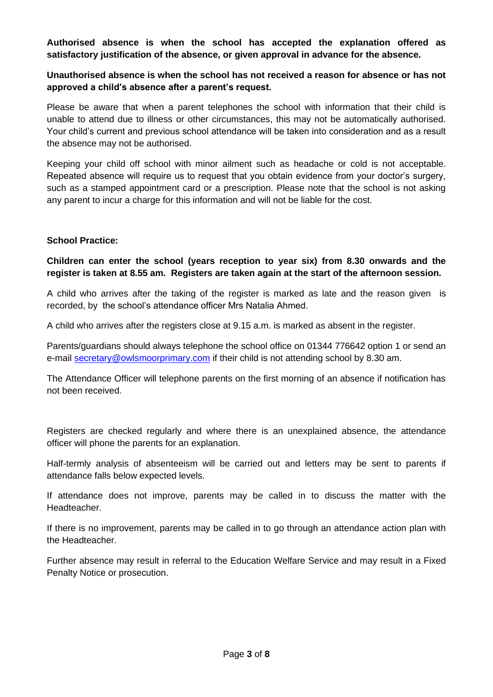#### **Authorised absence is when the school has accepted the explanation offered as satisfactory justification of the absence, or given approval in advance for the absence.**

# **Unauthorised absence is when the school has not received a reason for absence or has not approved a child's absence after a parent's request.**

Please be aware that when a parent telephones the school with information that their child is unable to attend due to illness or other circumstances, this may not be automatically authorised. Your child's current and previous school attendance will be taken into consideration and as a result the absence may not be authorised.

Keeping your child off school with minor ailment such as headache or cold is not acceptable. Repeated absence will require us to request that you obtain evidence from your doctor's surgery, such as a stamped appointment card or a prescription. Please note that the school is not asking any parent to incur a charge for this information and will not be liable for the cost.

#### **School Practice:**

**Children can enter the school (years reception to year six) from 8.30 onwards and the register is taken at 8.55 am. Registers are taken again at the start of the afternoon session.**

A child who arrives after the taking of the register is marked as late and the reason given is recorded, by the school's attendance officer Mrs Natalia Ahmed.

A child who arrives after the registers close at 9.15 a.m. is marked as absent in the register.

Parents/guardians should always telephone the school office on 01344 776642 option 1 or send an e-mail [secretary@owlsmoorprimary.com](mailto:secretary@owlsmoorprimary.com) if their child is not attending school by 8.30 am.

The Attendance Officer will telephone parents on the first morning of an absence if notification has not been received.

Registers are checked regularly and where there is an unexplained absence, the attendance officer will phone the parents for an explanation.

Half-termly analysis of absenteeism will be carried out and letters may be sent to parents if attendance falls below expected levels.

If attendance does not improve, parents may be called in to discuss the matter with the Headteacher.

If there is no improvement, parents may be called in to go through an attendance action plan with the Headteacher.

Further absence may result in referral to the Education Welfare Service and may result in a Fixed Penalty Notice or prosecution.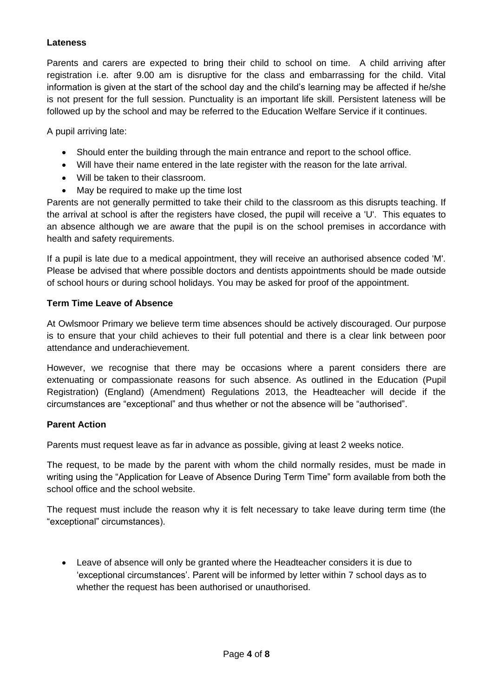# **Lateness**

Parents and carers are expected to bring their child to school on time. A child arriving after registration i.e. after 9.00 am is disruptive for the class and embarrassing for the child. Vital information is given at the start of the school day and the child's learning may be affected if he/she is not present for the full session. Punctuality is an important life skill. Persistent lateness will be followed up by the school and may be referred to the Education Welfare Service if it continues.

A pupil arriving late:

- Should enter the building through the main entrance and report to the school office.
- Will have their name entered in the late register with the reason for the late arrival.
- Will be taken to their classroom.
- May be required to make up the time lost

Parents are not generally permitted to take their child to the classroom as this disrupts teaching. If the arrival at school is after the registers have closed, the pupil will receive a 'U'. This equates to an absence although we are aware that the pupil is on the school premises in accordance with health and safety requirements.

If a pupil is late due to a medical appointment, they will receive an authorised absence coded 'M'. Please be advised that where possible doctors and dentists appointments should be made outside of school hours or during school holidays. You may be asked for proof of the appointment.

#### **Term Time Leave of Absence**

At Owlsmoor Primary we believe term time absences should be actively discouraged. Our purpose is to ensure that your child achieves to their full potential and there is a clear link between poor attendance and underachievement.

However, we recognise that there may be occasions where a parent considers there are extenuating or compassionate reasons for such absence. As outlined in the Education (Pupil Registration) (England) (Amendment) Regulations 2013, the Headteacher will decide if the circumstances are "exceptional" and thus whether or not the absence will be "authorised".

#### **Parent Action**

Parents must request leave as far in advance as possible, giving at least 2 weeks notice.

The request, to be made by the parent with whom the child normally resides, must be made in writing using the "Application for Leave of Absence During Term Time" form available from both the school office and the school website.

The request must include the reason why it is felt necessary to take leave during term time (the "exceptional" circumstances).

• Leave of absence will only be granted where the Headteacher considers it is due to 'exceptional circumstances'. Parent will be informed by letter within 7 school days as to whether the request has been authorised or unauthorised.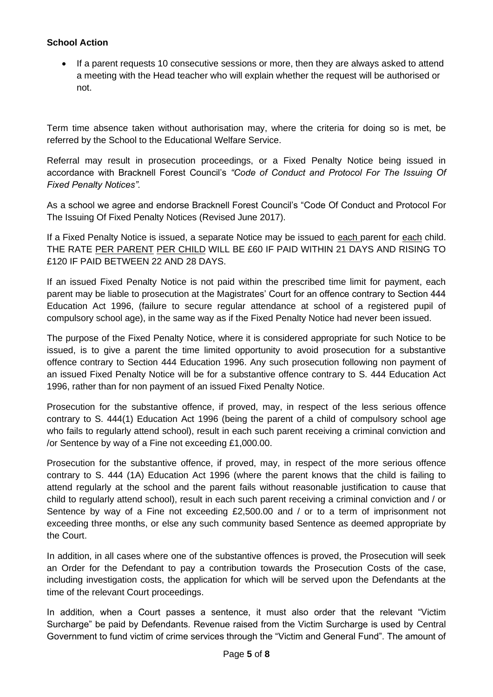# **School Action**

• If a parent requests 10 consecutive sessions or more, then they are always asked to attend a meeting with the Head teacher who will explain whether the request will be authorised or not.

Term time absence taken without authorisation may, where the criteria for doing so is met, be referred by the School to the Educational Welfare Service.

Referral may result in prosecution proceedings, or a Fixed Penalty Notice being issued in accordance with Bracknell Forest Council's *"Code of Conduct and Protocol For The Issuing Of Fixed Penalty Notices".* 

As a school we agree and endorse Bracknell Forest Council's "Code Of Conduct and Protocol For The Issuing Of Fixed Penalty Notices (Revised June 2017).

If a Fixed Penalty Notice is issued, a separate Notice may be issued to each parent for each child. THE RATE PER PARENT PER CHILD WILL BE £60 IF PAID WITHIN 21 DAYS AND RISING TO £120 IF PAID BETWEEN 22 AND 28 DAYS.

If an issued Fixed Penalty Notice is not paid within the prescribed time limit for payment, each parent may be liable to prosecution at the Magistrates' Court for an offence contrary to Section 444 Education Act 1996, (failure to secure regular attendance at school of a registered pupil of compulsory school age), in the same way as if the Fixed Penalty Notice had never been issued.

The purpose of the Fixed Penalty Notice, where it is considered appropriate for such Notice to be issued, is to give a parent the time limited opportunity to avoid prosecution for a substantive offence contrary to Section 444 Education 1996. Any such prosecution following non payment of an issued Fixed Penalty Notice will be for a substantive offence contrary to S. 444 Education Act 1996, rather than for non payment of an issued Fixed Penalty Notice.

Prosecution for the substantive offence, if proved, may, in respect of the less serious offence contrary to S. 444(1) Education Act 1996 (being the parent of a child of compulsory school age who fails to regularly attend school), result in each such parent receiving a criminal conviction and /or Sentence by way of a Fine not exceeding £1,000.00.

Prosecution for the substantive offence, if proved, may, in respect of the more serious offence contrary to S. 444 (1A) Education Act 1996 (where the parent knows that the child is failing to attend regularly at the school and the parent fails without reasonable justification to cause that child to regularly attend school), result in each such parent receiving a criminal conviction and / or Sentence by way of a Fine not exceeding £2,500.00 and / or to a term of imprisonment not exceeding three months, or else any such community based Sentence as deemed appropriate by the Court.

In addition, in all cases where one of the substantive offences is proved, the Prosecution will seek an Order for the Defendant to pay a contribution towards the Prosecution Costs of the case, including investigation costs, the application for which will be served upon the Defendants at the time of the relevant Court proceedings.

In addition, when a Court passes a sentence, it must also order that the relevant "Victim Surcharge" be paid by Defendants. Revenue raised from the Victim Surcharge is used by Central Government to fund victim of crime services through the "Victim and General Fund". The amount of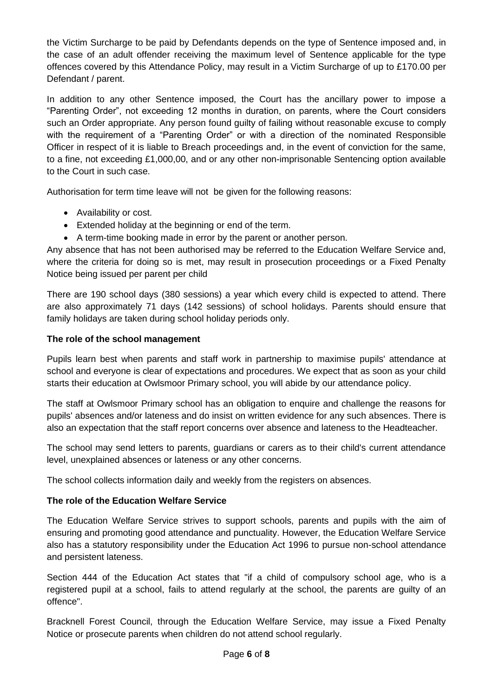the Victim Surcharge to be paid by Defendants depends on the type of Sentence imposed and, in the case of an adult offender receiving the maximum level of Sentence applicable for the type offences covered by this Attendance Policy, may result in a Victim Surcharge of up to £170.00 per Defendant / parent.

In addition to any other Sentence imposed, the Court has the ancillary power to impose a "Parenting Order", not exceeding 12 months in duration, on parents, where the Court considers such an Order appropriate. Any person found guilty of failing without reasonable excuse to comply with the requirement of a "Parenting Order" or with a direction of the nominated Responsible Officer in respect of it is liable to Breach proceedings and, in the event of conviction for the same, to a fine, not exceeding £1,000,00, and or any other non-imprisonable Sentencing option available to the Court in such case.

Authorisation for term time leave will not be given for the following reasons:

- Availability or cost.
- Extended holiday at the beginning or end of the term.
- A term-time booking made in error by the parent or another person.

Any absence that has not been authorised may be referred to the Education Welfare Service and, where the criteria for doing so is met, may result in prosecution proceedings or a Fixed Penalty Notice being issued per parent per child

There are 190 school days (380 sessions) a year which every child is expected to attend. There are also approximately 71 days (142 sessions) of school holidays. Parents should ensure that family holidays are taken during school holiday periods only.

# **The role of the school management**

Pupils learn best when parents and staff work in partnership to maximise pupils' attendance at school and everyone is clear of expectations and procedures. We expect that as soon as your child starts their education at Owlsmoor Primary school, you will abide by our attendance policy.

The staff at Owlsmoor Primary school has an obligation to enquire and challenge the reasons for pupils' absences and/or lateness and do insist on written evidence for any such absences. There is also an expectation that the staff report concerns over absence and lateness to the Headteacher.

The school may send letters to parents, guardians or carers as to their child's current attendance level, unexplained absences or lateness or any other concerns.

The school collects information daily and weekly from the registers on absences.

# **The role of the Education Welfare Service**

The Education Welfare Service strives to support schools, parents and pupils with the aim of ensuring and promoting good attendance and punctuality. However, the Education Welfare Service also has a statutory responsibility under the Education Act 1996 to pursue non-school attendance and persistent lateness.

Section 444 of the Education Act states that "if a child of compulsory school age, who is a registered pupil at a school, fails to attend regularly at the school, the parents are guilty of an offence".

Bracknell Forest Council, through the Education Welfare Service, may issue a Fixed Penalty Notice or prosecute parents when children do not attend school regularly.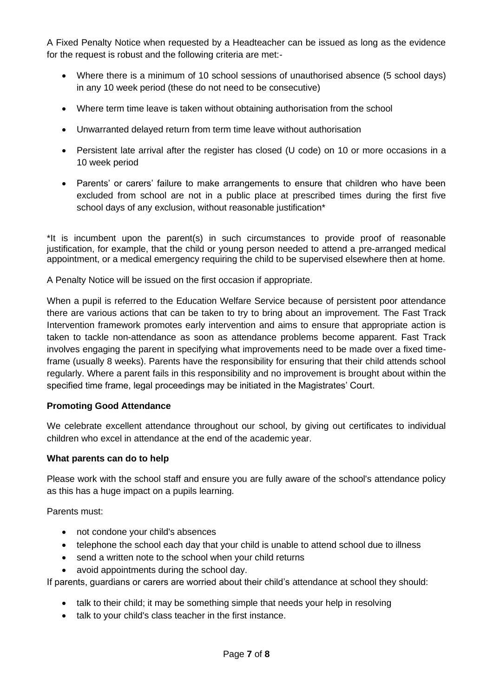A Fixed Penalty Notice when requested by a Headteacher can be issued as long as the evidence for the request is robust and the following criteria are met:-

- Where there is a minimum of 10 school sessions of unauthorised absence (5 school days) in any 10 week period (these do not need to be consecutive)
- Where term time leave is taken without obtaining authorisation from the school
- Unwarranted delayed return from term time leave without authorisation
- Persistent late arrival after the register has closed (U code) on 10 or more occasions in a 10 week period
- Parents' or carers' failure to make arrangements to ensure that children who have been excluded from school are not in a public place at prescribed times during the first five school days of any exclusion, without reasonable justification\*

\*It is incumbent upon the parent(s) in such circumstances to provide proof of reasonable justification, for example, that the child or young person needed to attend a pre-arranged medical appointment, or a medical emergency requiring the child to be supervised elsewhere then at home.

A Penalty Notice will be issued on the first occasion if appropriate.

When a pupil is referred to the Education Welfare Service because of persistent poor attendance there are various actions that can be taken to try to bring about an improvement. The Fast Track Intervention framework promotes early intervention and aims to ensure that appropriate action is taken to tackle non-attendance as soon as attendance problems become apparent. Fast Track involves engaging the parent in specifying what improvements need to be made over a fixed timeframe (usually 8 weeks). Parents have the responsibility for ensuring that their child attends school regularly. Where a parent fails in this responsibility and no improvement is brought about within the specified time frame, legal proceedings may be initiated in the Magistrates' Court.

# **Promoting Good Attendance**

We celebrate excellent attendance throughout our school, by giving out certificates to individual children who excel in attendance at the end of the academic year.

#### **What parents can do to help**

Please work with the school staff and ensure you are fully aware of the school's attendance policy as this has a huge impact on a pupils learning.

Parents must:

- not condone your child's absences
- telephone the school each day that your child is unable to attend school due to illness
- send a written note to the school when your child returns
- avoid appointments during the school day.

If parents, guardians or carers are worried about their child's attendance at school they should:

- talk to their child; it may be something simple that needs your help in resolving
- talk to your child's class teacher in the first instance.